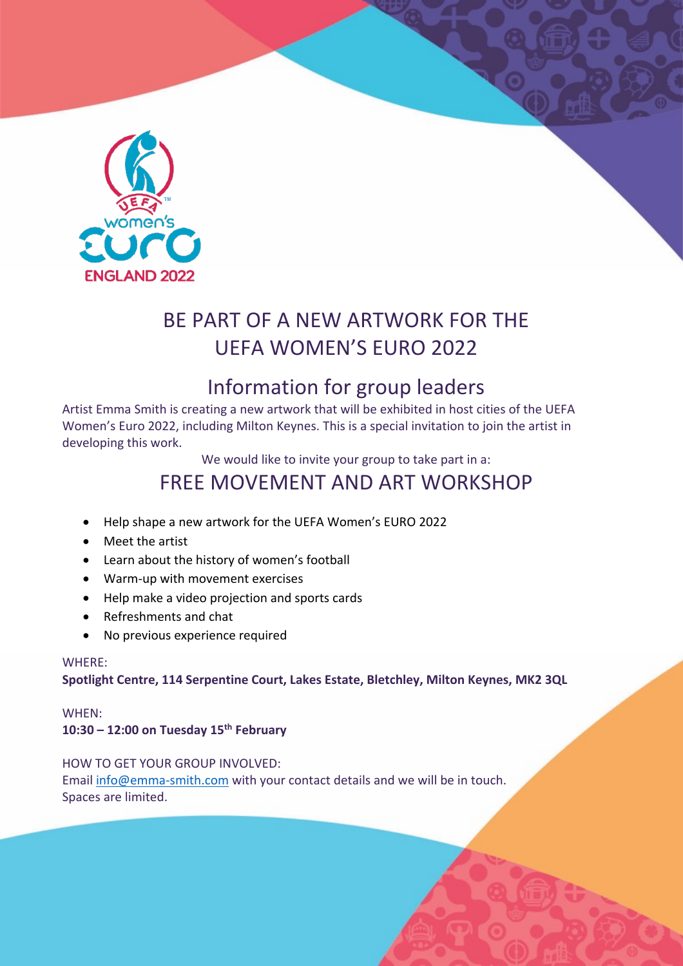

## BE PART OF A NEW ARTWORK FOR THE UEFA WOMEN'S EURO 2022

## Information for group leaders

Artist Emma Smith is creating a new artwork that will be exhibited in host cities of the UEFA Women's Euro 2022, including Milton Keynes. This is a special invitation to join the artist in developing this work.

We would like to invite your group to take part in a:

## FREE MOVEMENT AND ART WORKSHOP

- Help shape a new artwork for the UEFA Women's EURO 2022
- Meet the artist
- Learn about the history of women's football
- Warm-up with movement exercises
- Help make a video projection and sports cards
- Refreshments and chat
- No previous experience required

#### WHERE:

**Spotlight Centre, 114 Serpentine Court, Lakes Estate, Bletchley, Milton Keynes, MK2 3QL**

#### WHEN:

**10:30 – 12:00 on Tuesday 15th February**

HOW TO GET YOUR GROUP INVOLVED: Email info@emma-smith.com with your contact details and we will be in touch. Spaces are limited.